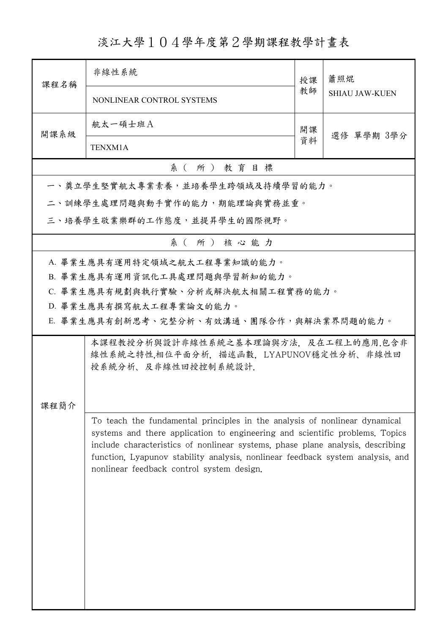## 淡江大學104學年度第2學期課程教學計畫表

| 課程名稱     | 非線性系統                                                                                                                                                                                                                                                                                                                                                                       | 授課 | 蕭照焜<br><b>SHIAU JAW-KUEN</b> |  |  |
|----------|-----------------------------------------------------------------------------------------------------------------------------------------------------------------------------------------------------------------------------------------------------------------------------------------------------------------------------------------------------------------------------|----|------------------------------|--|--|
|          | NONLINEAR CONTROL SYSTEMS                                                                                                                                                                                                                                                                                                                                                   | 教師 |                              |  |  |
| 開課系級     | 航太一碩士班A                                                                                                                                                                                                                                                                                                                                                                     | 開課 |                              |  |  |
|          | TENXM1A                                                                                                                                                                                                                                                                                                                                                                     | 資料 | 選修 單學期 3學分                   |  |  |
| 系(所)教育目標 |                                                                                                                                                                                                                                                                                                                                                                             |    |                              |  |  |
|          | 一、奠立學生堅實航太專業素養,並培養學生跨領域及持續學習的能力。                                                                                                                                                                                                                                                                                                                                            |    |                              |  |  |
|          | 二、訓練學生處理問題與動手實作的能力,期能理論與實務並重。                                                                                                                                                                                                                                                                                                                                               |    |                              |  |  |
|          | 三、培養學生敬業樂群的工作態度,並提昇學生的國際視野。                                                                                                                                                                                                                                                                                                                                                 |    |                              |  |  |
|          | 系(所)核心能力                                                                                                                                                                                                                                                                                                                                                                    |    |                              |  |  |
|          | A. 畢業生應具有運用特定領域之航太工程專業知識的能力。                                                                                                                                                                                                                                                                                                                                                |    |                              |  |  |
|          | B. 畢業生應具有運用資訊化工具處理問題與學習新知的能力。                                                                                                                                                                                                                                                                                                                                               |    |                              |  |  |
|          | C. 畢業生應具有規劃與執行實驗、分析或解決航太相關工程實務的能力。                                                                                                                                                                                                                                                                                                                                          |    |                              |  |  |
|          | D. 畢業生應具有撰寫航太工程專業論文的能力。                                                                                                                                                                                                                                                                                                                                                     |    |                              |  |  |
|          | E. 畢業生應具有創新思考、完整分析、有效溝通、團隊合作,與解決業界問題的能力。                                                                                                                                                                                                                                                                                                                                    |    |                              |  |  |
| 課程簡介     | 本課程教授分析與設計非線性系統之基本理論與方法,及在工程上的應用.包含非<br>線性系統之特性,相位平面分析, 描述函數, LYAPUNOV穩定性分析、非線性回<br>授系統分析、及非線性回授控制系統設計.                                                                                                                                                                                                                                                                     |    |                              |  |  |
|          | To teach the fundamental principles in the analysis of nonlinear dynamical<br>systems and there application to engineering and scientific problems. Topics<br>include characteristics of nonlinear systems, phase plane analysis, describing<br>function, Lyapunov stability analysis, nonlinear feedback system analysis, and<br>nonlinear feedback control system design. |    |                              |  |  |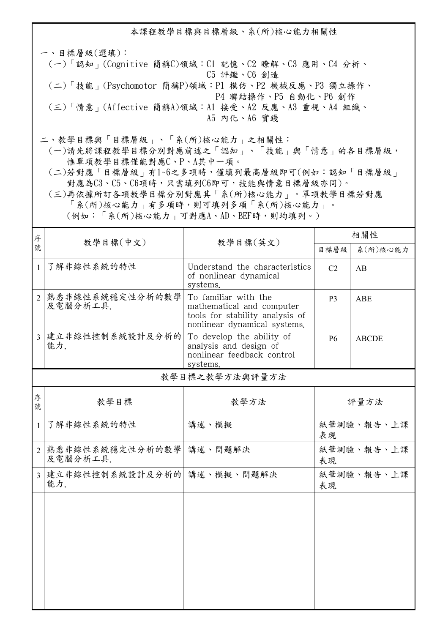本課程教學目標與目標層級、系(所)核心能力相關性

一、目標層級(選填): (一)「認知」(Cognitive 簡稱C)領域:C1 記憶、C2 瞭解、C3 應用、C4 分析、 C5 評鑑、C6 創造 (二)「技能」(Psychomotor 簡稱P)領域:P1 模仿、P2 機械反應、P3 獨立操作、 P4 聯結操作、P5 自動化、P6 創作 (三)「情意」(Affective 簡稱A)領域:A1 接受、A2 反應、A3 重視、A4 組織、 A5 內化、A6 實踐

二、教學目標與「目標層級」、「系(所)核心能力」之相關性:

 (一)請先將課程教學目標分別對應前述之「認知」、「技能」與「情意」的各目標層級, 惟單項教學目標僅能對應C、P、A其中一項。

 (二)若對應「目標層級」有1~6之多項時,僅填列最高層級即可(例如:認知「目標層級」 對應為C3、C5、C6項時,只需填列C6即可,技能與情意目標層級亦同)。

 (三)再依據所訂各項教學目標分別對應其「系(所)核心能力」。單項教學目標若對應 「系(所)核心能力」有多項時,則可填列多項「系(所)核心能力」。

(例如:「系(所)核心能力」可對應A、AD、BEF時,則均填列。)

| 序              | 教學目標(中文)                           |                                                                                                                      | 相關性              |              |
|----------------|------------------------------------|----------------------------------------------------------------------------------------------------------------------|------------------|--------------|
| 號              |                                    | 教學目標(英文)                                                                                                             | 目標層級             | 系(所)核心能力     |
| $\mathbf{1}$   | 了解非線性系統的特性                         | Understand the characteristics<br>of nonlinear dynamical<br>systems.                                                 | C <sub>2</sub>   | AB           |
| $\overline{2}$ | 熟悉非線性系統穩定性分析的數學<br>及電腦分析工具.        | To familiar with the<br>mathematical and computer<br>tools for stability analysis of<br>nonlinear dynamical systems. | P <sub>3</sub>   | ABE          |
|                | 3 建立非線性控制系統設計及分析的<br>能力.           | To develop the ability of<br>analysis and design of<br>nonlinear feedback control<br>systems.                        | <b>P6</b>        | <b>ABCDE</b> |
| 教學目標之教學方法與評量方法 |                                    |                                                                                                                      |                  |              |
| 序<br>號         | 教學目標                               | 教學方法                                                                                                                 | 評量方法             |              |
| $\mathbf{1}$   | 了解非線性系統的特性                         | 講述、模擬                                                                                                                | 紙筆測驗、報告、上課<br>表現 |              |
| $\overline{2}$ | 熟悉非線性系統穩定性分析的數學<br>及電腦分析工具.        | 講述、問題解決                                                                                                              | 紙筆測驗、報告、上課<br>表現 |              |
| $\mathbf{R}$   | 建立非線性控制系統設計及分析的  講述、模擬、問題解決<br>能力. |                                                                                                                      | 紙筆測驗、報告、上課<br>表現 |              |
|                |                                    |                                                                                                                      |                  |              |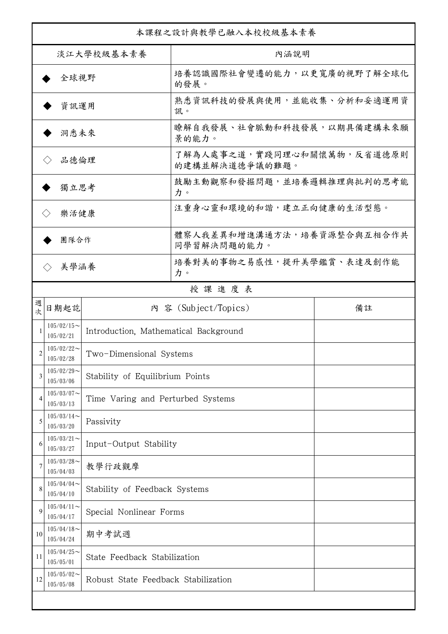| 本課程之設計與教學已融入本校校級基本素養      |                                                                 |                                       |                                              |    |  |
|---------------------------|-----------------------------------------------------------------|---------------------------------------|----------------------------------------------|----|--|
| 淡江大學校級基本素養                |                                                                 |                                       | 內涵說明                                         |    |  |
| 全球視野                      |                                                                 |                                       | 培養認識國際社會變遷的能力,以更寬廣的視野了解全球化<br>的發展。           |    |  |
| 資訊運用                      |                                                                 |                                       | 熟悉資訊科技的發展與使用,並能收集、分析和妥適運用資<br>訊。             |    |  |
| 洞悉未來                      |                                                                 |                                       | 瞭解自我發展、社會脈動和科技發展,以期具備建構未來願<br>景的能力。          |    |  |
| 品德倫理                      |                                                                 |                                       | 了解為人處事之道,實踐同理心和關懷萬物,反省道德原則<br>的建構並解決道德爭議的難題。 |    |  |
| 獨立思考                      |                                                                 |                                       | 鼓勵主動觀察和發掘問題,並培養邏輯推理與批判的思考能<br>力。             |    |  |
| 樂活健康<br>$\langle \rangle$ |                                                                 |                                       | 注重身心靈和環境的和諧,建立正向健康的生活型態。                     |    |  |
| 團隊合作                      |                                                                 |                                       | 體察人我差異和增進溝通方法,培養資源整合與互相合作共<br>同學習解決問題的能力。    |    |  |
| 美學涵養                      |                                                                 |                                       | 培養對美的事物之易感性,提升美學鑑賞、表達及創作能<br>力。              |    |  |
|                           |                                                                 |                                       | 授課進度表                                        |    |  |
| 週<br>欤                    | 日期起訖                                                            |                                       | 內 容 (Subject/Topics)                         | 備註 |  |
|                           | $105/02/15$ ~<br>105/02/21                                      | Introduction, Mathematical Background |                                              |    |  |
| 2                         | $105/02/22$ ~<br>Two-Dimensional Systems<br>105/02/28           |                                       |                                              |    |  |
| 3                         | $105/02/29$ ~<br>Stability of Equilibrium Points<br>105/03/06   |                                       |                                              |    |  |
| 4                         | $105/03/07$ ~<br>Time Varing and Perturbed Systems<br>105/03/13 |                                       |                                              |    |  |
| 5                         | $105/03/14$ ~<br>105/03/20                                      | Passivity                             |                                              |    |  |
| 6                         | $105/03/21$ ~<br>105/03/27                                      | Input-Output Stability                |                                              |    |  |
|                           | $105/03/28$ ~<br>105/04/03                                      | 教學行政觀摩                                |                                              |    |  |
| 8                         | $105/04/04$ ~<br>105/04/10                                      | Stability of Feedback Systems         |                                              |    |  |
| 9                         | $105/04/11$ ~<br>105/04/17                                      | Special Nonlinear Forms               |                                              |    |  |
| 10                        | $105/04/18$ ~<br>105/04/24                                      | 期中考試週                                 |                                              |    |  |
| 11                        | $105/04/25$ ~<br>105/05/01                                      | State Feedback Stabilization          |                                              |    |  |
| 12                        | $105/05/02$ ~<br>105/05/08                                      | Robust State Feedback Stabilization   |                                              |    |  |
|                           |                                                                 |                                       |                                              |    |  |